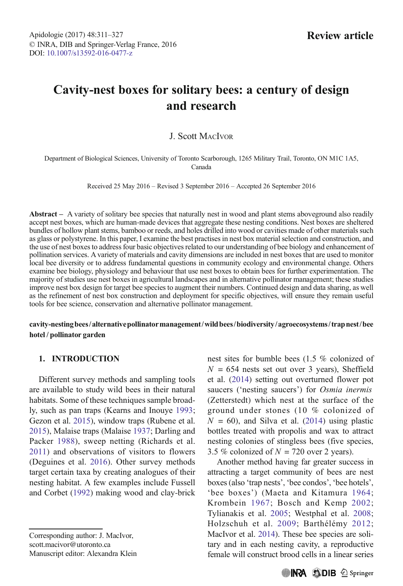# Cavity-nest boxes for solitary bees: a century of design and research

## J. Scott MACIVOR

Department of Biological Sciences, University of Toronto Scarborough, 1265 Military Trail, Toronto, ON M1C 1A5, Canada

Received 25 May 2016 – Revised 3 September 2016 – Accepted 26 September 2016

Abstract – A variety of solitary bee species that naturally nest in wood and plant stems aboveground also readily accept nest boxes, which are human-made devices that aggregate these nesting conditions. Nest boxes are sheltered bundles of hollow plant stems, bamboo or reeds, and holes drilled into wood or cavities made of other materials such as glass or polystyrene. In this paper, I examine the best practises in nest box material selection and construction, and the use of nest boxes to address four basic objectives related to our understanding of bee biology and enhancement of pollination services. A variety of materials and cavity dimensions are included in nest boxes that are used to monitor local bee diversity or to address fundamental questions in community ecology and environmental change. Others examine bee biology, physiology and behaviour that use nest boxes to obtain bees for further experimentation. The majority of studies use nest boxes in agricultural landscapes and in alternative pollinator management; these studies improve nest box design for target bee species to augment their numbers. Continued design and data sharing, as well as the refinement of nest box construction and deployment for specific objectives, will ensure they remain useful tools for bee science, conservation and alternative pollinator management.

cavity-nestingbees/ alternativepollinatormanagement/wildbees/biodiversity/ agroecosystems/ trapnest/bee hotel / pollinator garden

## 1. INTRODUCTION

Different survey methods and sampling tools are available to study wild bees in their natural habitats. Some of these techniques sample broadly, such as pan traps (Kearns and Inouye [1993](#page-12-0); Gezon et al. [2015](#page-11-0)), window traps (Rubene et al. [2015](#page-14-0)), Malaise traps (Malaise [1937;](#page-13-0) Darling and Packer [1988](#page-10-0)), sweep netting (Richards et al. [2011](#page-14-0)) and observations of visitors to flowers (Deguines et al. [2016\)](#page-10-0). Other survey methods target certain taxa by creating analogues of their nesting habitat. A few examples include Fussell and Corbet ([1992\)](#page-11-0) making wood and clay-brick

Corresponding author: J. MacIvor, scott.macivor@utoronto.ca Manuscript editor: Alexandra Klein nest sites for bumble bees (1.5 % colonized of  $N = 654$  nests set out over 3 years), Sheffield et al. [\(2014](#page-14-0)) setting out overturned flower pot saucers ('nesting saucers') for *Osmia inermis* (Zetterstedt) which nest at the surface of the ground under stones (10 % colonized of  $N = 60$ , and Silva et al. ([2014\)](#page-14-0) using plastic bottles treated with propolis and wax to attract nesting colonies of stingless bees (five species, 3.5 % colonized of  $N = 720$  over 2 years).

Another method having far greater success in attracting a target community of bees are nest boxes (also 'trap nests', 'bee condos', 'bee hotels', 'bee boxes') (Maeta and Kitamura [1964](#page-13-0); Krombein [1967;](#page-12-0) Bosch and Kemp [2002](#page-9-0); Tylianakis et al. [2005;](#page-15-0) Westphal et al. [2008](#page-16-0); Holzschuh et al. [2009](#page-12-0); Barthélémy [2012](#page-9-0); MacIvor et al. [2014](#page-13-0)). These bee species are solitary and in each nesting cavity, a reproductive female will construct brood cells in a linear series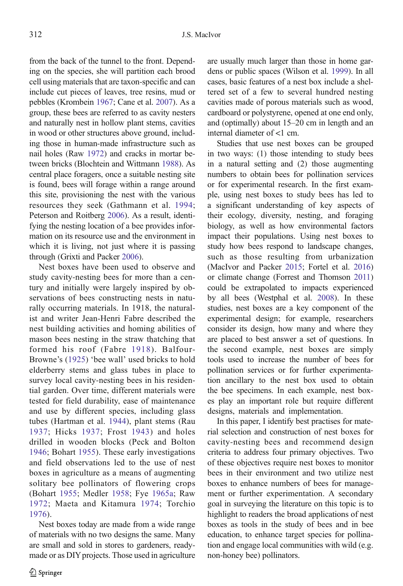from the back of the tunnel to the front. Depending on the species, she will partition each brood cell using materials that are taxon-specific and can include cut pieces of leaves, tree resins, mud or pebbles (Krombein [1967](#page-12-0); Cane et al. [2007\)](#page-10-0). As a group, these bees are referred to as cavity nesters and naturally nest in hollow plant stems, cavities in wood or other structures above ground, including those in human-made infrastructure such as nail holes (Raw [1972\)](#page-14-0) and cracks in mortar between bricks (Blochtein and Wittmann [1988\)](#page-9-0). As central place foragers, once a suitable nesting site is found, bees will forage within a range around this site, provisioning the nest with the various resources they seek (Gathmann et al. [1994](#page-11-0); Peterson and Roitberg [2006](#page-13-0)). As a result, identifying the nesting location of a bee provides information on its resource use and the environment in which it is living, not just where it is passing through (Grixti and Packer [2006](#page-11-0)).

Nest boxes have been used to observe and study cavity-nesting bees for more than a century and initially were largely inspired by observations of bees constructing nests in naturally occurring materials. In 1918, the naturalist and writer Jean-Henri Fabre described the nest building activities and homing abilities of mason bees nesting in the straw thatching that formed his roof (Fabre [1918\)](#page-10-0). Balfour-Browne's ([1925](#page-9-0)) 'bee wall' used bricks to hold elderberry stems and glass tubes in place to survey local cavity-nesting bees in his residential garden. Over time, different materials were tested for field durability, ease of maintenance and use by different species, including glass tubes (Hartman et al. [1944\)](#page-11-0), plant stems (Rau [1937;](#page-14-0) Hicks [1937](#page-11-0); Frost [1943](#page-11-0)) and holes drilled in wooden blocks (Peck and Bolton [1946](#page-13-0); Bohart [1955](#page-9-0)). These early investigations and field observations led to the use of nest boxes in agriculture as a means of augmenting solitary bee pollinators of flowering crops (Bohart [1955;](#page-9-0) Medler [1958](#page-13-0); Fye [1965a](#page-11-0); Raw [1972;](#page-14-0) Maeta and Kitamura [1974](#page-13-0); Torchio [1976](#page-15-0)).

Nest boxes today are made from a wide range of materials with no two designs the same. Many are small and sold in stores to gardeners, readymade or as DIY projects. Those used in agriculture are usually much larger than those in home gardens or public spaces (Wilson et al. [1999](#page-16-0)). In all cases, basic features of a nest box include a sheltered set of a few to several hundred nesting cavities made of porous materials such as wood, cardboard or polystyrene, opened at one end only, and (optimally) about 15–20 cm in length and an internal diameter of <1 cm.

Studies that use nest boxes can be grouped in two ways: (1) those intending to study bees in a natural setting and (2) those augmenting numbers to obtain bees for pollination services or for experimental research. In the first example, using nest boxes to study bees has led to a significant understanding of key aspects of their ecology, diversity, nesting, and foraging biology, as well as how environmental factors impact their populations. Using nest boxes to study how bees respond to landscape changes, such as those resulting from urbanization (MacIvor and Packer [2015](#page-12-0); Fortel et al. [2016](#page-11-0)) or climate change (Forrest and Thomson [2011](#page-11-0)) could be extrapolated to impacts experienced by all bees (Westphal et al. [2008](#page-16-0)). In these studies, nest boxes are a key component of the experimental design; for example, researchers consider its design, how many and where they are placed to best answer a set of questions. In the second example, nest boxes are simply tools used to increase the number of bees for pollination services or for further experimentation ancillary to the nest box used to obtain the bee specimens. In each example, nest boxes play an important role but require different designs, materials and implementation.

In this paper, I identify best practises for material selection and construction of nest boxes for cavity-nesting bees and recommend design criteria to address four primary objectives. Two of these objectives require nest boxes to monitor bees in their environment and two utilize nest boxes to enhance numbers of bees for management or further experimentation. A secondary goal in surveying the literature on this topic is to highlight to readers the broad applications of nest boxes as tools in the study of bees and in bee education, to enhance target species for pollination and engage local communities with wild (e.g. non-honey bee) pollinators.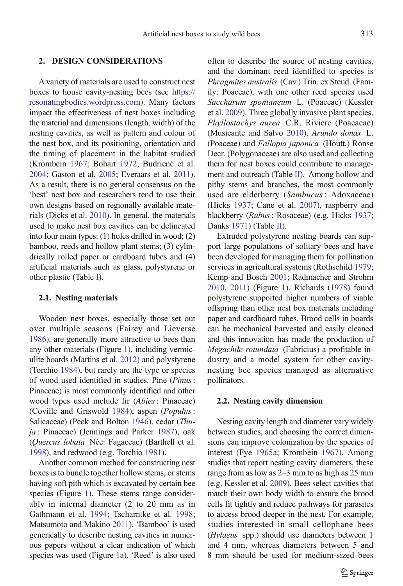#### 2. DESIGN CONSIDERATIONS

A variety of materials are used to construct nest boxes to house cavity-nesting bees (see [https://](https://resonatingbodies.wordpress.com) [resonatingbodies.wordpress.com\)](https://resonatingbodies.wordpress.com). Many factors impact the effectiveness of nest boxes including the material and dimensions (length, width) of the nesting cavities, as well as pattern and colour of the nest box, and its positioning, orientation and the timing of placement in the habitat studied (Krombein [1967](#page-12-0); Bohart [1972;](#page-9-0) Budrienė et al. [2004;](#page-10-0) Gaston et al. [2005](#page-11-0); Everaars et al. [2011](#page-10-0)). As a result, there is no general consensus on the 'best' nest box and researchers tend to use their own designs based on regionally available materials (Dicks et al. [2010\)](#page-10-0). In general, the materials used to make nest box cavities can be delineated into four main types: (1) holes drilled in wood; (2) bamboo, reeds and hollow plant stems; (3) cylindrically rolled paper or cardboard tubes and (4) artificial materials such as glass, polystyrene or other plastic (Table [I\)](#page-3-0).

#### 2.1. Nesting materials

Wooden nest boxes, especially those set out over multiple seasons (Fairey and Lieverse [1986\)](#page-10-0), are generally more attractive to bees than any other materials (Figure [1](#page-4-0)), including vermiculite boards (Martins et al. [2012](#page-13-0)) and polystyrene (Torchio [1984\)](#page-15-0), but rarely are the type or species of wood used identified in studies. Pine (Pinus: Pinaceae) is most commonly identified and other wood types used include fir (Abies: Pinaceae) (Coville and Griswold [1984](#page-10-0)), aspen (Populus: Salicaceae) (Peck and Bolton [1946\)](#page-13-0), cedar (Thuja : Pinaceae) (Jennings and Parker [1987\)](#page-12-0), oak (Quercus lobata Née: Fagaceae) (Barthell et al. [1998\)](#page-9-0), and redwood (e.g. Torchio [1981\)](#page-15-0).

Another common method for constructing nest boxes is to bundle together hollow stems, or stems having soft pith which is excavated by certain bee species (Figure [1](#page-4-0)). These stems range considerably in internal diameter (2 to 20 mm as in Gathmann et al. [1994;](#page-11-0) Tscharntke et al. [1998](#page-15-0); Matsumoto and Makino [2011\)](#page-13-0). 'Bamboo' is used generically to describe nesting cavities in numerous papers without a clear indication of which species was used (Figure [1](#page-4-0)a). 'Reed' is also used often to describe the source of nesting cavities, and the dominant reed identified to species is Phragmites australis (Cav.) Trin. ex Steud. (Family: Poaceae), with one other reed species used Saccharum spontaneum L. (Poaceae) (Kessler et al. [2009](#page-12-0)). Three globally invasive plant species, Phyllostachys aurea C.R. Riviere (Poacaeae) (Musicante and Salvo [2010\)](#page-13-0), Arundo donax L. (Poaceae) and Fallopia japonica (Houtt.) Ronse Decr. (Polygonaceae) are also used and collecting them for nest boxes could contribute to management and outreach (Table [II](#page-5-0)). Among hollow and pithy stems and branches, the most commonly used are elderberry (Sambucus : Adoxaceae) (Hicks [1937](#page-11-0); Cane et al. [2007\)](#page-10-0), raspberry and blackberry (Rubus: Rosaceae) (e.g. Hicks [1937;](#page-11-0) Danks [1971](#page-10-0)) (Table [II\)](#page-5-0).

Extruded polystyrene nesting boards can support large populations of solitary bees and have been developed for managing them for pollination services in agricultural systems (Rothschild [1979;](#page-14-0) Kemp and Bosch [2001;](#page-12-0) Radmacher and Strohm [2010,](#page-13-0) [2011\)](#page-14-0) (Figure [1\)](#page-4-0). Richards ([1978](#page-14-0)) found polystyrene supported higher numbers of viable offspring than other nest box materials including paper and cardboard tubes. Brood cells in boards can be mechanical harvested and easily cleaned and this innovation has made the production of Megachile rotundata (Fabricius) a profitable industry and a model system for other cavitynesting bee species managed as alternative pollinators.

#### 2.2. Nesting cavity dimension

Nesting cavity length and diameter vary widely between studies, and choosing the correct dimensions can improve colonization by the species of interest (Fye [1965a;](#page-11-0) Krombein [1967\)](#page-12-0). Among studies that report nesting cavity diameters, these range from as low as 2–3 mm to as high as 25 mm (e.g. Kessler et al. [2009](#page-12-0)). Bees select cavities that match their own body width to ensure the brood cells fit tightly and reduce pathways for parasites to access brood deeper in the nest. For example, studies interested in small cellophane bees (Hylaeus spp.) should use diameters between 1 and 4 mm, whereas diameters between 5 and 8 mm should be used for medium-sized bees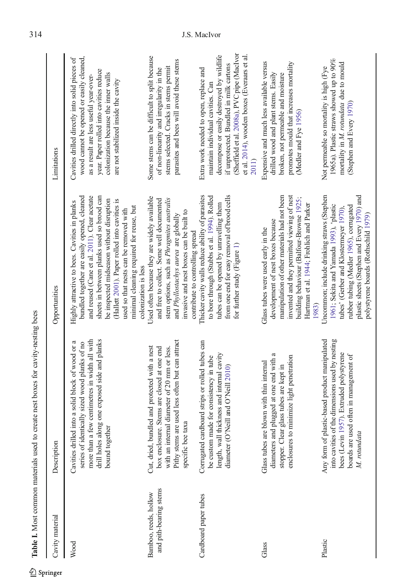<span id="page-3-0"></span>

| Table I. Most common materials used to          | create nest boxes for cavity-nesting bees                                                                                                                                                                                |                                                                                                                                                                                                                                                                                                                                                                                                        |                                                                                                                                                                                                                                                                            |
|-------------------------------------------------|--------------------------------------------------------------------------------------------------------------------------------------------------------------------------------------------------------------------------|--------------------------------------------------------------------------------------------------------------------------------------------------------------------------------------------------------------------------------------------------------------------------------------------------------------------------------------------------------------------------------------------------------|----------------------------------------------------------------------------------------------------------------------------------------------------------------------------------------------------------------------------------------------------------------------------|
| Cavity material                                 | Description                                                                                                                                                                                                              | Opportunities                                                                                                                                                                                                                                                                                                                                                                                          | Limitations                                                                                                                                                                                                                                                                |
| Wood                                            | more than a few centimetres in width all with<br>drill holes along one exposed side and planks<br>Cavities drilled into a solid block of wood or a<br>series of identically sized wood planks of no<br>bound together    | bundled together are easily opened, cleaned<br>and reused (Cane et al. 2011). Clear acetate<br>sheets in between planks used so brood can<br>be inspected midseason without disruption<br>(Hallett 2001). Paper rolled into cavities is<br>Highly attractive to bees. Cavities in planks<br>minimal cleaning required for reuse, but<br>used so that nests can be removed with<br>colonization is less | wood cannot be opened or easily cleaned,<br>Cavities drilled directly into solid pieces of<br>year. Paper rolled into cavities reduce<br>colonization because the inner walls<br>as a result are less useful year-over-<br>are not stabilized inside the cavity            |
| and pith-bearing stems<br>Bamboo, reeds, hollow | are used less often but can attract<br>Cut, dried, bundled and protected with a nest<br>with an internal diameter of 20 mm or less.<br>box enclosure. Stems are closed at one end<br>taxa<br>Pithy stems<br>specific bee | Used often because they are widely available<br>and free to collect. Some well documented<br>stem options, such as Phragmites australis<br>invasive and nest boxes can be built to<br>and Phyllostachys aurea are globally<br>contribute to controlling spread                                                                                                                                         | Some stems can be difficult to split because<br>parasites and bees will avoid these stems<br>stems selected. Cracks in stems permit<br>of non-linearity and irregularity in the                                                                                            |
| Cardboard paper tubes                           | Corrugated cardboard strips or rolled tubes can<br>length, wall thickness and internal cavity<br>be custom made for consistency in tube<br>diameter (O'Neill and O'Neill 2010)                                           | Thicker cavity walls reduce ability of parasites<br>from one end for easy removal of brood cells<br>to bore through (Stubbs et al. 1994). Rolled<br>tubes can be opened by unravelling them<br>for further study (Figure 1)                                                                                                                                                                            | (Sheffield et al. 2008a), PVC pipe (MacIvor<br>et al. 2014), wooden boxes (Everaars et al.<br>decompose or easily destroyed by wildlife<br>if unprotected. Bundled in milk cartons<br>Extra work needed to open, replace and<br>maintain individual cavities. Can<br>2011) |
| Glass                                           | a<br>enclosures to minimize light penetration<br>diameters and plugged at one end with<br>Glass tubes are blown with thin internal<br>stopper. Clear glass tubes are kept in                                             | manipulation of other materials had not been<br>invented and they permitted viewing of nest<br>building behaviour (Balfour-Browne 1925;<br>Hartman et al. 1944; Frohlich and Parker<br>development of nest boxes because<br>Glass tubes were used early in the<br>1983)                                                                                                                                | Expensive and much less available versus<br>promotes mould that increases mortality<br>drilled wood and plant stems. Easily<br>broken, not permeable and moisture<br>(Medler and Fye 1956)                                                                                 |
| Plastic                                         | plastic-based product manipulated<br>into cavities of the dimensions used by nesting<br>bees (Levin 1957). Extruded polystyrene<br>boards are used often in management of<br>M. rotundata<br>Any form of                 | Uncommon; include drinking straws (Stephen<br>plastic sheets (Stephen and Every 1970) and<br>1961; Sekita and Yamada 1993), 'plastic<br>rubber tubing (Medler 1965), corrugated<br>tubes' (Gerber and Klostermeyer 1970).<br>polystyrene boards (Rothschild 1979)                                                                                                                                      | 1965a). Plastic straws showed up to 90%<br>mortality in M. rotundata due to mould<br>Not permeable so mortality is high (Fye<br>(Stephen and Every 1970)                                                                                                                   |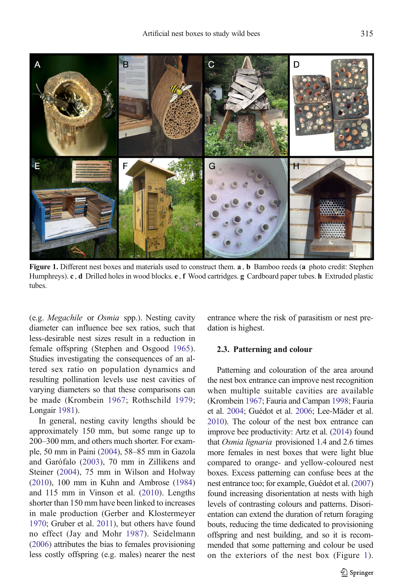<span id="page-4-0"></span>

Figure 1. Different nest boxes and materials used to construct them. **a**, **b** Bamboo reeds (a photo credit: Stephen Humphreys). c, d Drilled holes in wood blocks. e, f Wood cartridges. g Cardboard paper tubes. h Extruded plastic tubes.

(e.g. Megachile or Osmia spp.). Nesting cavity diameter can influence bee sex ratios, such that less-desirable nest sizes result in a reduction in female offspring (Stephen and Osgood [1965\)](#page-15-0). Studies investigating the consequences of an altered sex ratio on population dynamics and resulting pollination levels use nest cavities of varying diameters so that these comparisons can be made (Krombein [1967;](#page-12-0) Rothschild [1979](#page-14-0); Longair [1981](#page-12-0)).

In general, nesting cavity lengths should be approximately 150 mm, but some range up to 200–300 mm, and others much shorter. For example, 50 mm in Paini ([2004](#page-13-0)), 58–85 mm in Gazola and Garófalo ([2003\)](#page-11-0), 70 mm in Zillikens and Steiner [\(2004](#page-16-0)), 75 mm in Wilson and Holway [\(2010\)](#page-16-0), 100 mm in Kuhn and Ambrose [\(1984\)](#page-12-0) and 115 mm in Vinson et al. ([2010\)](#page-15-0). Lengths shorter than 150 mm have been linked to increases in male production (Gerber and Klostermeyer [1970;](#page-11-0) Gruber et al. [2011\)](#page-11-0), but others have found no effect (Jay and Mohr [1987](#page-12-0)). Seidelmann [\(2006\)](#page-14-0) attributes the bias to females provisioning less costly offspring (e.g. males) nearer the nest entrance where the risk of parasitism or nest predation is highest.

#### 2.3. Patterning and colour

Patterning and colouration of the area around the nest box entrance can improve nest recognition when multiple suitable cavities are available (Krombein [1967](#page-12-0); Fauria and Campan [1998;](#page-10-0) Fauria et al. [2004;](#page-11-0) Guédot et al. [2006;](#page-11-0) Lee-Mäder et al. [2010](#page-12-0)). The colour of the nest box entrance can improve bee productivity: Artz et al. [\(2014](#page-9-0)) found that Osmia lignaria provisioned 1.4 and 2.6 times more females in nest boxes that were light blue compared to orange- and yellow-coloured nest boxes. Excess patterning can confuse bees at the nest entrance too; for example, Guédot et al. [\(2007](#page-11-0)) found increasing disorientation at nests with high levels of contrasting colours and patterns. Disorientation can extend the duration of return foraging bouts, reducing the time dedicated to provisioning offspring and nest building, and so it is recommended that some patterning and colour be used on the exteriors of the nest box (Figure 1).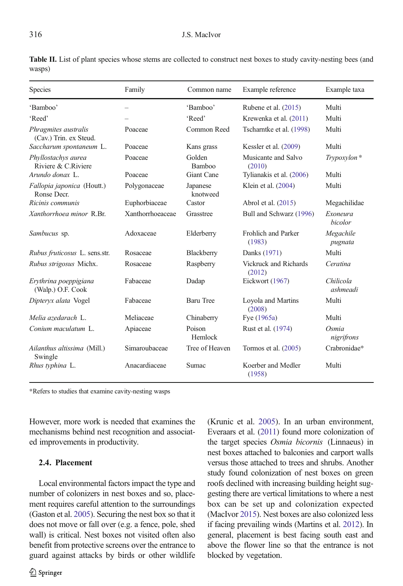#### <span id="page-5-0"></span>316 J.S. MacIvor

| Species                                        | Family           | Common name             | Example reference               | Example taxa          |
|------------------------------------------------|------------------|-------------------------|---------------------------------|-----------------------|
| 'Bamboo'                                       | —                | 'Bamboo'                | Rubene et al. $(2015)$          | Multi                 |
| 'Reed'                                         |                  | 'Reed'                  | Krewenka et al. (2011)          | Multi                 |
| Phragmites australis<br>(Cav.) Trin. ex Steud. | Poaceae          | Common Reed             | Tscharntke et al. (1998)        | Multi                 |
| Saccharum spontaneum L.                        | Poaceae          | Kans grass              | Kessler et al. $(2009)$         | Multi                 |
| Phyllostachys aurea<br>Riviere & C.Riviere     | Poaceae          | Golden<br><b>Bamboo</b> | Musicante and Salvo<br>(2010)   | Trypoxylon*           |
| Arundo donax L.                                | Poaceae          | Giant Cane              | Tylianakis et al. (2006)        | Multi                 |
| Fallopia japonica (Houtt.)<br>Ronse Decr.      | Polygonaceae     | Japanese<br>knotweed    | Klein et al. (2004)             | Multi                 |
| Ricinis communis                               | Euphorbiaceae    | Castor                  | Abrol et al. (2015)             | Megachilidae          |
| Xanthorrhoea minor R.Br.                       | Xanthorrhoeaceae | Grasstree               | Bull and Schwarz (1996)         | Exoneura<br>bicolor   |
| Sambucus sp.                                   | Adoxaceae        | Elderberry              | Frohlich and Parker<br>(1983)   | Megachile<br>pugnata  |
| Rubus fruticosus L. sens.str.                  | Rosaceae         | Blackberry              | Danks (1971)                    | Multi                 |
| Rubus strigosus Michx.                         | Rosaceae         | Raspberry               | Vickruck and Richards<br>(2012) | Ceratina              |
| Erythrina poeppigiana<br>(Walp.) O.F. Cook     | Fabaceae         | Dadap                   | Eickwort (1967)                 | Chilicola<br>ashmeadi |
| Dipteryx alata Vogel                           | Fabaceae         | <b>Baru Tree</b>        | Loyola and Martins<br>(2008)    | Multi                 |
| Melia azedarach L.                             | Meliaceae        | Chinaberry              | Fye (1965a)                     | Multi                 |
| Conium maculatum L.                            | Apiaceae         | Poison<br>Hemlock       | Rust et al. (1974)              | Osmia<br>nigrifrons   |
| Ailanthus altissima (Mill.)<br>Swingle         | Simaroubaceae    | Tree of Heaven          | Tormos et al. $(2005)$          | Crabronidae*          |
| Rhus typhina L.                                | Anacardiaceae    | Sumac                   | Koerber and Medler<br>(1958)    | Multi                 |

Table II. List of plant species whose stems are collected to construct nest boxes to study cavity-nesting bees (and wasps)

\*Refers to studies that examine cavity-nesting wasps

However, more work is needed that examines the mechanisms behind nest recognition and associated improvements in productivity.

## 2.4. Placement

Local environmental factors impact the type and number of colonizers in nest boxes and so, placement requires careful attention to the surroundings (Gaston et al. [2005\)](#page-11-0). Securing the nest box so that it does not move or fall over (e.g. a fence, pole, shed wall) is critical. Nest boxes not visited often also benefit from protective screens over the entrance to guard against attacks by birds or other wildlife (Krunic et al. [2005\)](#page-12-0). In an urban environment, Everaars et al. [\(2011](#page-10-0)) found more colonization of the target species Osmia bicornis (Linnaeus) in nest boxes attached to balconies and carport walls versus those attached to trees and shrubs. Another study found colonization of nest boxes on green roofs declined with increasing building height suggesting there are vertical limitations to where a nest box can be set up and colonization expected (MacIvor [2015](#page-12-0)). Nest boxes are also colonized less if facing prevailing winds (Martins et al. [2012\)](#page-13-0). In general, placement is best facing south east and above the flower line so that the entrance is not blocked by vegetation.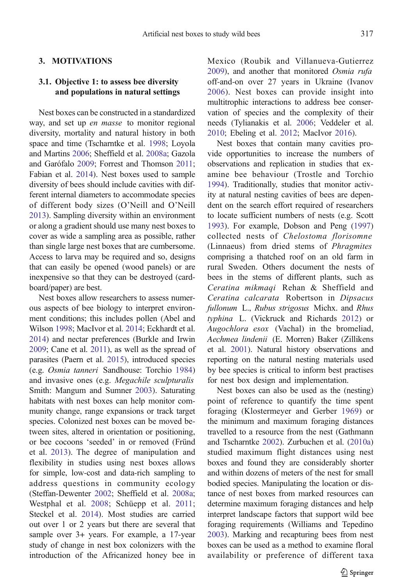#### 3. MOTIVATIONS

## 3.1. Objective 1: to assess bee diversity and populations in natural settings

Nest boxes can be constructed in a standardized way, and set up en masse to monitor regional diversity, mortality and natural history in both space and time (Tscharntke et al. [1998](#page-15-0); Loyola and Martins [2006;](#page-12-0) Sheffield et al. [2008a;](#page-14-0) Gazola and Garófalo [2009](#page-11-0); Forrest and Thomson [2011](#page-11-0); Fabian et al. [2014](#page-10-0)). Nest boxes used to sample diversity of bees should include cavities with different internal diameters to accommodate species of different body sizes (O'Neill and O'Neill [2013\)](#page-13-0). Sampling diversity within an environment or along a gradient should use many nest boxes to cover as wide a sampling area as possible, rather than single large nest boxes that are cumbersome. Access to larva may be required and so, designs that can easily be opened (wood panels) or are inexpensive so that they can be destroyed (cardboard/paper) are best.

Nest boxes allow researchers to assess numerous aspects of bee biology to interpret environment conditions; this includes pollen (Abel and Wilson [1998;](#page-9-0) MacIvor et al. [2014;](#page-13-0) Eckhardt et al. [2014\)](#page-10-0) and nectar preferences (Burkle and Irwin [2009;](#page-10-0) Cane et al. [2011](#page-10-0)), as well as the spread of parasites (Paern et al. [2015](#page-13-0)), introduced species (e.g. Osmia tanneri Sandhouse: Torchio [1984\)](#page-15-0) and invasive ones (e.g. Megachile sculpturalis Smith: Mangum and Sumner [2003\)](#page-13-0). Saturating habitats with nest boxes can help monitor community change, range expansions or track target species. Colonized nest boxes can be moved between sites, altered in orientation or positioning, or bee cocoons 'seeded' in or removed (Fründ et al. [2013\)](#page-11-0). The degree of manipulation and flexibility in studies using nest boxes allows for simple, low-cost and data-rich sampling to address questions in community ecology (Steffan-Dewenter [2002](#page-14-0); Sheffield et al. [2008a](#page-14-0); Westphal et al. [2008](#page-16-0); Schüepp et al. [2011](#page-14-0); Steckel et al. [2014](#page-14-0)). Most studies are carried out over 1 or 2 years but there are several that sample over 3+ years. For example, a 17-year study of change in nest box colonizers with the introduction of the Africanized honey bee in Mexico (Roubik and Villanueva-Gutierrez [2009\)](#page-14-0), and another that monitored Osmia rufa off-and-on over 27 years in Ukraine (Ivanov [2006\)](#page-12-0). Nest boxes can provide insight into multitrophic interactions to address bee conservation of species and the complexity of their needs (Tylianakis et al. [2006](#page-15-0); Veddeler et al. [2010;](#page-15-0) Ebeling et al. [2012](#page-10-0); MacIvor [2016\)](#page-12-0).

Nest boxes that contain many cavities provide opportunities to increase the numbers of observations and replication in studies that examine bee behaviour (Trostle and Torchio [1994\)](#page-15-0). Traditionally, studies that monitor activity at natural nesting cavities of bees are dependent on the search effort required of researchers to locate sufficient numbers of nests (e.g. Scott [1993\)](#page-14-0). For example, Dobson and Peng ([1997](#page-10-0)) collected nests of Chelostoma florisomne (Linnaeus) from dried stems of Phragmites comprising a thatched roof on an old farm in rural Sweden. Others document the nests of bees in the stems of different plants, such as Ceratina mikmaqi Rehan & Sheffield and Ceratina calcarata Robertson in Dipsacus fullonum L., Rubus strigosus Michx. and Rhus typhina L. (Vickruck and Richards [2012\)](#page-15-0) or Augochlora esox (Vachal) in the bromeliad, Aechmea lindenii (E. Morren) Baker (Zillikens et al. [2001\)](#page-16-0). Natural history observations and reporting on the natural nesting materials used by bee species is critical to inform best practises for nest box design and implementation.

Nest boxes can also be used as the (nesting) point of reference to quantify the time spent foraging (Klostermeyer and Gerber [1969\)](#page-12-0) or the minimum and maximum foraging distances travelled to a resource from the nest (Gathmann and Tscharntke [2002\)](#page-11-0). Zurbuchen et al. ([2010a](#page-16-0)) studied maximum flight distances using nest boxes and found they are considerably shorter and within dozens of meters of the nest for small bodied species. Manipulating the location or distance of nest boxes from marked resources can determine maximum foraging distances and help interpret landscape factors that support wild bee foraging requirements (Williams and Tepedino [2003\)](#page-16-0). Marking and recapturing bees from nest boxes can be used as a method to examine floral availability or preference of different taxa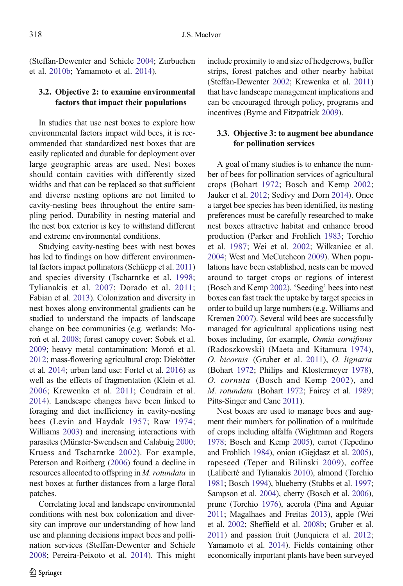(Steffan-Dewenter and Schiele [2004](#page-14-0); Zurbuchen

## et al. [2010b;](#page-16-0) Yamamoto et al. [2014\)](#page-16-0).

## 3.2. Objective 2: to examine environmental factors that impact their populations

In studies that use nest boxes to explore how environmental factors impact wild bees, it is recommended that standardized nest boxes that are easily replicated and durable for deployment over large geographic areas are used. Nest boxes should contain cavities with differently sized widths and that can be replaced so that sufficient and diverse nesting options are not limited to cavity-nesting bees throughout the entire sampling period. Durability in nesting material and the nest box exterior is key to withstand different and extreme environmental conditions.

Studying cavity-nesting bees with nest boxes has led to findings on how different environmental factors impact pollinators (Schüepp et al. [2011\)](#page-14-0) and species diversity (Tscharntke et al. [1998](#page-15-0); Tylianakis et al. [2007;](#page-15-0) Dorado et al. [2011](#page-10-0); Fabian et al. [2013\)](#page-10-0). Colonization and diversity in nest boxes along environmental gradients can be studied to understand the impacts of landscape change on bee communities (e.g. wetlands: Moroń et al. [2008;](#page-13-0) forest canopy cover: Sobek et al. [2009;](#page-14-0) heavy metal contamination: Moroń et al. [2012;](#page-13-0) mass-flowering agricultural crop: Diekötter et al. [2014;](#page-10-0) urban land use: Fortel et al. [2016](#page-11-0)) as well as the effects of fragmentation (Klein et al. [2006;](#page-12-0) Krewenka et al. [2011](#page-12-0); Coudrain et al. [2014\)](#page-10-0). Landscape changes have been linked to foraging and diet inefficiency in cavity-nesting bees (Levin and Haydak [1957;](#page-12-0) Raw [1974](#page-14-0); Williams [2003\)](#page-16-0) and increasing interactions with parasites (Münster-Swendsen and Calabuig [2000](#page-13-0); Kruess and Tscharntke [2002\)](#page-12-0). For example, Peterson and Roitberg [\(2006\)](#page-13-0) found a decline in resources allocated to offspring in M. rotundata in nest boxes at further distances from a large floral patches.

Correlating local and landscape environmental conditions with nest box colonization and diversity can improve our understanding of how land use and planning decisions impact bees and pollination services (Steffan-Dewenter and Schiele [2008](#page-14-0); Pereira-Peixoto et al. [2014\)](#page-13-0). This might include proximity to and size of hedgerows, buffer strips, forest patches and other nearby habitat (Steffan-Dewenter [2002](#page-14-0); Krewenka et al. [2011](#page-12-0)) that have landscape management implications and can be encouraged through policy, programs and incentives (Byrne and Fitzpatrick [2009](#page-10-0)).

## 3.3. Objective 3: to augment bee abundance for pollination services

A goal of many studies is to enhance the number of bees for pollination services of agricultural crops (Bohart [1972](#page-9-0); Bosch and Kemp [2002](#page-9-0); Jauker et al. [2012](#page-12-0); Sedivy and Dorn [2014\)](#page-14-0). Once a target bee species has been identified, its nesting preferences must be carefully researched to make nest boxes attractive habitat and enhance brood production (Parker and Frohlich [1983](#page-13-0); Torchio et al. [1987;](#page-15-0) Wei et al. [2002](#page-15-0); Wilkaniec et al. [2004;](#page-16-0) West and McCutcheon [2009\)](#page-16-0). When populations have been established, nests can be moved around to target crops or regions of interest (Bosch and Kemp [2002](#page-9-0)). 'Seeding' bees into nest boxes can fast track the uptake by target species in order to build up large numbers (e.g. Williams and Kremen [2007](#page-16-0)). Several wild bees are successfully managed for agricultural applications using nest boxes including, for example, Osmia cornifrons (Radoszkowski) (Maeta and Kitamura [1974\)](#page-13-0), O. bicornis (Gruber et al. [2011](#page-11-0)), O. lignaria (Bohart [1972;](#page-9-0) Philips and Klostermeyer [1978](#page-13-0)), O. cornuta (Bosch and Kemp [2002\)](#page-9-0), and M. rotundata (Bohart [1972](#page-9-0); Fairey et al. [1989;](#page-10-0) Pitts-Singer and Cane [2011\)](#page-13-0).

Nest boxes are used to manage bees and augment their numbers for pollination of a multitude of crops including alfalfa (Wightman and Rogers [1978](#page-16-0); Bosch and Kemp [2005\)](#page-10-0), carrot (Tepedino and Frohlich [1984\)](#page-15-0), onion (Giejdasz et al. [2005](#page-11-0)), rapeseed (Teper and Bilinski [2009](#page-15-0)), coffee (Laliberté and Tylianakis [2010](#page-12-0)), almond (Torchio [1981](#page-15-0); Bosch [1994\)](#page-9-0), blueberry (Stubbs et al. [1997;](#page-15-0) Sampson et al. [2004\)](#page-14-0), cherry (Bosch et al. [2006](#page-10-0)), prune (Torchio [1976](#page-15-0)), acerola (Pina and Aguiar [2011](#page-13-0); Magalhaes and Freitas [2013](#page-13-0)), apple (Wei et al. [2002;](#page-15-0) Sheffield et al. [2008b](#page-14-0); Gruber et al. [2011](#page-11-0)) and passion fruit (Junquiera et al. [2012;](#page-12-0) Yamamoto et al. [2014](#page-16-0)). Fields containing other economically important plants have been surveyed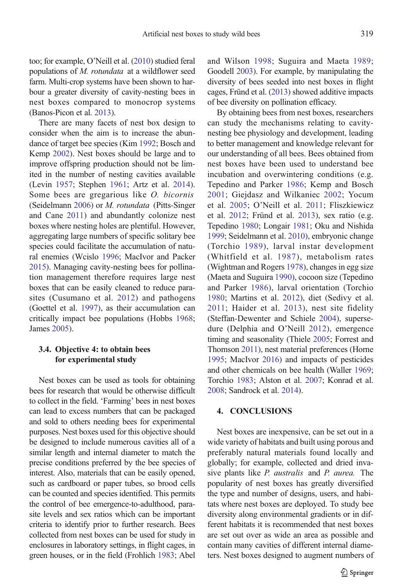too; for example, O'Neill et al. [\(2010\)](#page-13-0) studied feral populations of M. rotundata at a wildflower seed farm. Multi-crop systems have been shown to harbour a greater diversity of cavity-nesting bees in nest boxes compared to monocrop systems (Banos-Picon et al. [2013](#page-9-0)).

There are many facets of nest box design to consider when the aim is to increase the abundance of target bee species (Kim [1992](#page-12-0); Bosch and Kemp [2002\)](#page-9-0). Nest boxes should be large and to improve offspring production should not be limited in the number of nesting cavities available (Levin [1957](#page-12-0); Stephen [1961](#page-14-0); Artz et al. [2014](#page-9-0)). Some bees are gregarious like *O. bicornis* (Seidelmann [2006](#page-14-0)) or M. rotundata (Pitts-Singer and Cane [2011](#page-13-0)) and abundantly colonize nest boxes where nesting holes are plentiful. However, aggregating large numbers of specific solitary bee species could facilitate the accumulation of natural enemies (Wcislo [1996](#page-15-0); MacIvor and Packer [2015\)](#page-12-0). Managing cavity-nesting bees for pollination management therefore requires large nest boxes that can be easily cleaned to reduce parasites (Cusumano et al. [2012](#page-10-0)) and pathogens (Goettel et al. [1997\)](#page-11-0), as their accumulation can critically impact bee populations (Hobbs [1968](#page-11-0); James [2005](#page-12-0)).

## 3.4. Objective 4: to obtain bees for experimental study

Nest boxes can be used as tools for obtaining bees for research that would be otherwise difficult to collect in the field. 'Farming' bees in nest boxes can lead to excess numbers that can be packaged and sold to others needing bees for experimental purposes. Nest boxes used for this objective should be designed to include numerous cavities all of a similar length and internal diameter to match the precise conditions preferred by the bee species of interest. Also, materials that can be easily opened, such as cardboard or paper tubes, so brood cells can be counted and species identified. This permits the control of bee emergence-to-adulthood, parasite levels and sex ratios which can be important criteria to identify prior to further research. Bees collected from nest boxes can be used for study in enclosures in laboratory settings, in flight cages, in green houses, or in the field (Frohlich [1983;](#page-11-0) Abel and Wilson [1998;](#page-9-0) Suguira and Maeta [1989;](#page-15-0) Goodell [2003\)](#page-11-0). For example, by manipulating the diversity of bees seeded into nest boxes in flight cages, Fründ et al. [\(2013](#page-11-0)) showed additive impacts of bee diversity on pollination efficacy.

By obtaining bees from nest boxes, researchers can study the mechanisms relating to cavitynesting bee physiology and development, leading to better management and knowledge relevant for our understanding of all bees. Bees obtained from nest boxes have been used to understand bee incubation and overwintering conditions (e.g. Tepedino and Parker [1986](#page-15-0); Kemp and Bosch [2001;](#page-12-0) Giejdasz and Wilkaniec [2002](#page-11-0); Yocum et al. [2005](#page-16-0); O'Neill et al. [2011;](#page-13-0) Fliszkiewicz et al. [2012](#page-11-0); Fründ et al. [2013](#page-11-0)), sex ratio (e.g. Tepedino [1980](#page-15-0); Longair [1981;](#page-12-0) Oku and Nishida [1999;](#page-13-0) Seidelmann et al. [2010](#page-14-0)), embryonic change (Torchio [1989\)](#page-15-0), larval instar development (Whitfield et al. [1987](#page-16-0)), metabolism rates (Wightman and Rogers [1978](#page-16-0)), changes in egg size (Maeta and Suguira [1990\)](#page-13-0), cocoon size (Tepedino and Parker [1986\)](#page-15-0), larval orientation (Torchio [1980;](#page-15-0) Martins et al. [2012](#page-13-0)), diet (Sedivy et al. [2011;](#page-14-0) Haider et al. [2013](#page-11-0)), nest site fidelity (Steffan-Dewenter and Schiele [2004\)](#page-14-0), supersedure (Delphia and O'Neill [2012](#page-10-0)), emergence timing and seasonality (Thiele [2005](#page-15-0); Forrest and Thomson [2011\)](#page-11-0), nest material preferences (Horne [1995;](#page-12-0) MacIvor [2016](#page-12-0)) and impacts of pesticides and other chemicals on bee health (Waller [1969;](#page-15-0) Torchio [1983](#page-15-0); Alston et al. [2007](#page-9-0); Konrad et al. [2008;](#page-12-0) Sandrock et al. [2014\)](#page-14-0).

#### 4. CONCLUSIONS

Nest boxes are inexpensive, can be set out in a wide variety of habitats and built using porous and preferably natural materials found locally and globally; for example, collected and dried invasive plants like P. australis and P. aurea. The popularity of nest boxes has greatly diversified the type and number of designs, users, and habitats where nest boxes are deployed. To study bee diversity along environmental gradients or in different habitats it is recommended that nest boxes are set out over as wide an area as possible and contain many cavities of different internal diameters. Nest boxes designed to augment numbers of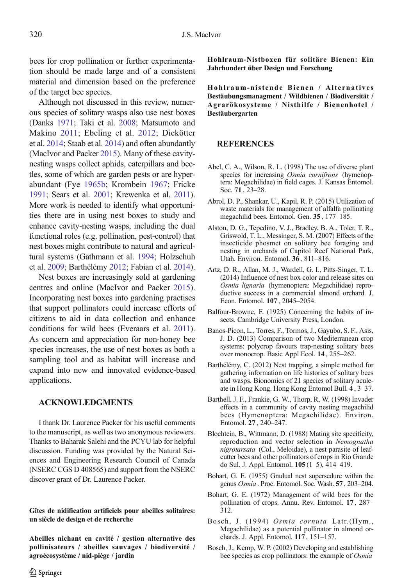<span id="page-9-0"></span>bees for crop pollination or further experimentation should be made large and of a consistent material and dimension based on the preference of the target bee species.

Although not discussed in this review, numerous species of solitary wasps also use nest boxes (Danks [1971;](#page-10-0) Taki et al. [2008;](#page-15-0) Matsumoto and Makino [2011;](#page-13-0) Ebeling et al. [2012](#page-10-0); Diekötter et al. [2014;](#page-10-0) Staab et al. [2014](#page-14-0)) and often abundantly (MacIvor and Packer [2015\)](#page-12-0). Many of these cavitynesting wasps collect aphids, caterpillars and beetles, some of which are garden pests or are hyperabundant (Fye [1965b;](#page-11-0) Krombein [1967](#page-12-0); Fricke [1991](#page-11-0); Sears et al. [2001;](#page-14-0) Krewenka et al. [2011](#page-12-0)). More work is needed to identify what opportunities there are in using nest boxes to study and enhance cavity-nesting wasps, including the dual functional roles (e.g. pollination, pest-control) that nest boxes might contribute to natural and agricultural systems (Gathmann et al. [1994](#page-11-0); Holzschuh et al. [2009;](#page-12-0) Barthélémy 2012; Fabian et al. [2014](#page-10-0)).

Nest boxes are increasingly sold at gardening centres and online (MacIvor and Packer [2015](#page-12-0)). Incorporating nest boxes into gardening practises that support pollinators could increase efforts of citizens to aid in data collection and enhance conditions for wild bees (Everaars et al. [2011](#page-10-0)). As concern and appreciation for non-honey bee species increases, the use of nest boxes as both a sampling tool and as habitat will increase and expand into new and innovated evidence-based applications.

#### ACKNOWLEDGMENTS

I thank Dr. Laurence Packer for his useful comments to the manuscript, as well as two anonymous reviewers. Thanks to Baharak Salehi and the PCYU lab for helpful discussion. Funding was provided by the Natural Sciences and Engineering Research Council of Canada (NSERC CGS D 408565) and support from the NSERC discover grant of Dr. Laurence Packer.

#### Gîtes de nidification artificiels pour abeilles solitaires: un siècle de design et de recherche

Abeilles nichant en cavité / gestion alternative des pollinisateurs / abeilles sauvages / biodiversité / agroécosystème / nid-piège / jardin

Hohlraum-Nistboxen für solitäre Bienen: Ein Jahrhundert über Design und Forschung

Hohlraum-nistende Bienen / Alternatives Bestäubungsmanagment / Wildbienen / Biodiversität / Agrarökosysteme / Nisthilfe / Bienenhotel / Bestäubergarten

#### **REFERENCES**

- Abel, C. A., Wilson, R. L. (1998) The use of diverse plant species for increasing Osmia cornifrons (hymenoptera: Megachilidae) in field cages. J. Kansas Entomol. Soc. 71 , 23–28.
- Abrol, D. P., Shankar, U., Kapil, R. P. (2015) Utilization of waste materials for management of alfalfa pollinating megachilid bees. Entomol. Gen. 35 , 177–185.
- Alston, D. G., Tepedino, V. J., Bradley, B. A., Toler, T. R., Griswold, T. L., Messinger, S. M. (2007) Effects of the insecticide phosmet on solitary bee foraging and nesting in orchards of Capitol Reef National Park, Utah. Environ. Entomol. 36 , 811–816.
- Artz, D. R., Allan, M. J., Wardell, G. I., Pitts-Singer, T. L. (2014) Influence of nest box color and release sites on Osmia lignaria (hymenoptera: Megachilidae) reproductive success in a commercial almond orchard. J. Econ. Entomol. 107 , 2045–2054.
- Balfour-Browne, F. (1925) Concerning the habits of insects. Cambridge University Press, London.
- Banos-Picon, L., Torres, F., Tormos, J., Gayubo, S. F., Asis, J. D. (2013) Comparison of two Mediterranean crop systems: polycrop favours trap-nesting solitary bees over monocrop. Basic Appl Ecol. 14, 255-262.
- Barthélémy, C. (2012) Nest trapping, a simple method for gathering information on life histories of solitary bees and wasps. Bionomics of 21 species of solitary aculeate in Hong Kong. Hong Kong Entomol Bull. 4 , 3–37.
- Barthell, J. F., Frankie, G. W., Thorp, R. W. (1998) Invader effects in a community of cavity nesting megachilid bees (Hymenoptera: Megachilidae). Environ. Entomol. 27 , 240–247.
- Blochtein, B., Wittmann, D. (1988) Mating site specificity, reproduction and vector selection in Nemognatha nigrotarsata (Col., Meloidae), a nest parasite of leafcutter bees and other pollinators of crops in Rio Grande do Sul. J. Appl. Entomol. 105 (1–5), 414–419.
- Bohart, G. E. (1955) Gradual nest supersedure within the genus Osmia . Proc. Entomol. Soc. Wash. 57 , 203–204.
- Bohart, G. E. (1972) Management of wild bees for the pollination of crops. Annu. Rev. Entomol. 17 , 287– 312.
- Bosch, J. (1994) Osmia cornuta Latr.(Hym., Megachilidae) as a potential pollinator in almond orchards. J. Appl. Entomol. 117 , 151–157.
- Bosch, J., Kemp, W. P. (2002) Developing and establishing bee species as crop pollinators: the example of *Osmia*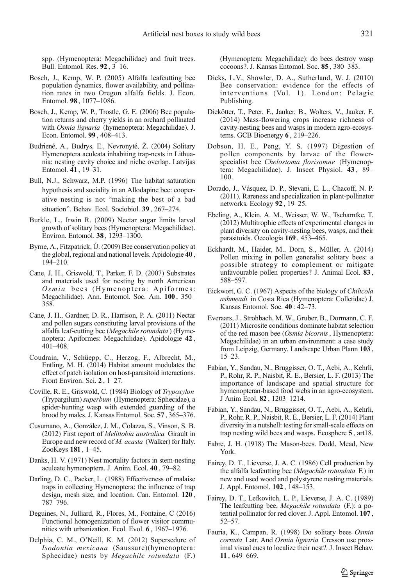<span id="page-10-0"></span>spp. (Hymenoptera: Megachilidae) and fruit trees. Bull. Entomol. Res. 92 , 3–16.

- Bosch, J., Kemp, W. P. (2005) Alfalfa leafcutting bee population dynamics, flower availability, and pollination rates in two Oregon alfalfa fields. J. Econ. Entomol. 98 , 1077–1086.
- Bosch, J., Kemp, W. P., Trostle, G. E. (2006) Bee population returns and cherry yields in an orchard pollinated with Osmia lignaria (hymenoptera: Megachilidae). J. Econ. Entomol. 99 , 408–413.
- Budriené, A., Budrys, E., Nevronyté, Ž. (2004) Solitary Hymenoptera aculeata inhabiting trap-nests in Lithuania: nesting cavity choice and niche overlap. Latvijas Entomol. 41 , 19–31.
- Bull, N.J., Schwarz, M.P. (1996) The habitat saturation hypothesis and sociality in an Allodapine bee: cooperative nesting is not "making the best of a bad situation". Behav. Ecol. Sociobiol. 39, 267–274.
- Burkle, L., Irwin R. (2009) Nectar sugar limits larval growth of solitary bees (Hymenoptera: Megachilidae). Environ. Entomol. 38 , 1293–1300.
- Byrne, A., Fitzpatrick, Ú. (2009) Bee conservation policy at the global, regional and national levels. Apidologie 40 , 194–210.
- Cane, J. H., Griswold, T., Parker, F. D. (2007) Substrates and materials used for nesting by north American Osmia bees (Hymenoptera: Apiformes: Megachilidae). Ann. Entomol. Soc. Am. 100 , 350– 358.
- Cane, J. H., Gardner, D. R., Harrison, P. A. (2011) Nectar and pollen sugars constituting larval provisions of the alfalfa leaf-cutting bee (Megachile rotundata ) (Hymenoptera: Apiformes: Megachilidae). Apidologie 42 , 401–408.
- Coudrain, V., Schüepp, C., Herzog, F., Albrecht, M., Entling, M. H. (2014) Habitat amount modulates the effect of patch isolation on host-parasitoid interactions. Front Environ. Sci. 2 , 1–27.
- Coville, R. E., Griswold, C. (1984) Biology of Trypoxylon (Trypargilum) superbum (Hymenoptera: Sphecidae), a spider-hunting wasp with extended guarding of the brood by males. J. Kansas Entomol. Soc. 57 , 365–376.
- Cusumano, A., González, J. M., Colazza, S., Vinson, S. B. (2012) First report of Melittobia australica Girault in Europe and new record of M. acasta (Walker) for Italy. ZooKeys 181 , 1–45.
- Danks, H. V. (1971) Nest mortality factors in stem-nesting aculeate hymenoptera. J. Anim. Ecol. 40 , 79–82.
- Darling, D. C., Packer, L. (1988) Effectiveness of malaise traps in collecting Hymenoptera: the influence of trap design, mesh size, and location. Can. Entomol. 120 , 787–796.
- Deguines, N., Julliard, R., Flores, M., Fontaine, C (2016) Functional homogenization of flower visitor communities with urbanization. Ecol. Evol. 6 , 1967–1976.
- Delphia, C. M., O'Neill, K. M. (2012) Supersedure of Isodontia mexicana (Saussure)(hymenoptera: Sphecidae) nests by Megachile rotundata (F.)

(Hymenoptera: Megachilidae): do bees destroy wasp cocoons?. J. Kansas Entomol. Soc. 85 , 380–383.

- Dicks, L.V., Showler, D. A., Sutherland, W. J. (2010) Bee conservation: evidence for the effects of interventions (Vol. 1). London: Pelagic Publishing.
- Diekötter, T., Peter, F., Jauker, B., Wolters, V., Jauker, F. (2014) Mass-flowering crops increase richness of cavity-nesting bees and wasps in modern agro-ecosystems. GCB Bioenergy 6 , 219–226.
- Dobson, H. E., Peng, Y. S. (1997) Digestion of pollen components by larvae of the flowerspecialist bee Chelostoma florisomne (Hymenoptera: Megachilidae). J. Insect Physiol. 43 , 89– 100.
- Dorado, J., Vásquez, D. P., Stevani, E. L., Chacoff, N. P. (2011). Rareness and specialization in plant-pollinator networks. Ecology 92 , 19–25.
- Ebeling, A., Klein, A. M., Weisser, W. W., Tscharntke, T. (2012) Multitrophic effects of experimental changes in plant diversity on cavity-nesting bees, wasps, and their parasitoids. Oecologia 169 , 453–465.
- Eckhardt, M., Haider, M., Dorn, S., Müller, A. (2014) Pollen mixing in pollen generalist solitary bees: a possible strategy to complement or mitigate unfavourable pollen properties? J. Animal Ecol. 83 , 588–597.
- Eickwort, G. C. (1967) Aspects of the biology of Chilicola ashmeadi in Costa Rica (Hymenoptera: Colletidae) J. Kansas Entomol. Soc. 40 : 42–73.
- Everaars, J., Strohbach, M. W., Gruber, B., Dormann, C. F. (2011) Microsite conditions dominate habitat selection of the red mason bee (Osmia bicornis, Hymenoptera: Megachilidae) in an urban environment: a case study from Leipzig, Germany. Landscape Urban Plann 103 , 15–23.
- Fabian, Y., Sandau, N., Bruggisser, O. T., Aebi, A., Kehrli, P., Rohr, R. P., Naisbit, R. E., Bersier, L. F. (2013) The importance of landscape and spatial structure for hymenopteran-based food webs in an agro-ecosystem. J Anim Ecol. 82 , 1203–1214.
- Fabian, Y., Sandau, N., Bruggisser, O. T., Aebi, A., Kehrli, P., Rohr, R. P., Naisbit, R. E., Bersier, L. F. (2014) Plant diversity in a nutshell: testing for small-scale effects on trap nesting wild bees and wasps. Ecosphere 5 , art18.
- Fabre, J. H. (1918) The Mason-bees. Dodd, Mead, New York.
- Fairey, D. T., Lieverse, J. A. C. (1986) Cell production by the alfalfa leafcutting bee (Megachile rotundata F.) in new and used wood and polystyrene nesting materials. J. Appl. Entomol. 102 , 148–153.
- Fairey, D. T., Lefkovitch, L. P., Lieverse, J. A. C. (1989) The leafcutting bee, Megachile rotundata (F.): a potential pollinator for red clover. J. Appl. Entomol. 107 , 52–57.
- Fauria, K., Campan, R. (1998) Do solitary bees Osmia cornuta Latr. And Osmia lignaria Cresson use proximal visual cues to localize their nest?. J. Insect Behav. 11 , 649–669.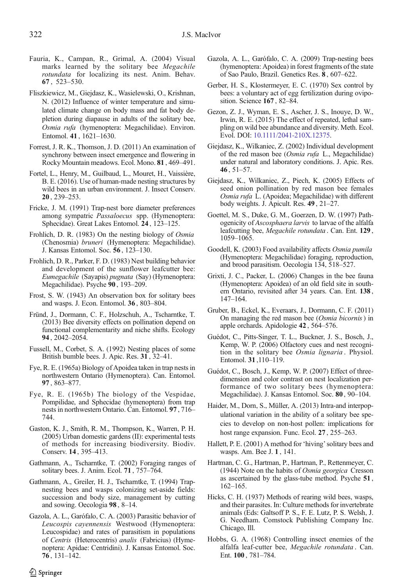- <span id="page-11-0"></span>Fauria, K., Campan, R., Grimal, A. (2004) Visual marks learned by the solitary bee Megachile rotundata for localizing its nest. Anim. Behav. 67 , 523–530.
- Fliszkiewicz, M., Giejdasz, K., Wasielewski, O., Krishnan, N. (2012) Influence of winter temperature and simulated climate change on body mass and fat body depletion during diapause in adults of the solitary bee, Osmia rufa (hymenoptera: Megachilidae). Environ. Entomol. 41 , 1621–1630.
- Forrest, J. R. K., Thomson, J. D. (2011) An examination of synchrony between insect emergence and flowering in Rocky Mountain meadows. Ecol. Mono. 81 , 469–491.
- Fortel, L., Henry, M., Guilbaud, L., Mouret, H., Vaissière, B. E. (2016). Use of human-made nesting structures by wild bees in an urban environment. J. Insect Conserv. 20 , 239–253.
- Fricke, J. M. (1991) Trap-nest bore diameter preferences among sympatric Passaloecus spp. (Hymenoptera: Sphecidae). Great Lakes Entomol. 24 , 123–125.
- Frohlich, D. R. (1983) On the nesting biology of Osmia (Chenosmia) bruneri (Hymenoptera: Megachilidae). J. Kansas Entomol. Soc. 56 , 123–130.
- Frohlich, D. R., Parker, F. D. (1983) Nest building behavior and development of the sunflower leafcutter bee: Eumegachile (Sayapis) pugnata (Say) (Hymenoptera: Megachilidae). Psyche 90 , 193–209.
- Frost, S. W. (1943) An observation box for solitary bees and wasps. J. Econ. Entomol. 36 , 803–804.
- Fründ, J., Dormann, C. F., Holzschuh, A., Tscharntke, T. (2013) Bee diversity effects on pollination depend on functional complementarity and niche shifts. Ecology 94 , 2042–2054.
- Fussell, M., Corbet, S. A. (1992) Nesting places of some British bumble bees. J. Apic. Res. 31 , 32–41.
- Fye, R. E. (1965a) Biology of Apoidea taken in trap nests in northwestern Ontario (Hymenoptera). Can. Entomol. 97 , 863–877.
- Fye, R. E. (1965b) The biology of the Vespidae, Pompilidae, and Sphecidae (hymenoptera) from trap nests in northwestern Ontario. Can. Entomol. 97 , 716– 744.
- Gaston, K. J., Smith, R. M., Thompson, K., Warren, P. H. (2005) Urban domestic gardens (II): experimental tests of methods for increasing biodiversity. Biodiv. Conserv. 14 , 395–413.
- Gathmann, A., Tscharntke, T. (2002) Foraging ranges of solitary bees. J. Anim. Ecol. 71 , 757–764.
- Gathmann, A., Greiler, H. J., Tscharntke, T. (1994) Trapnesting bees and wasps colonizing set-aside fields: succession and body size, management by cutting and sowing. Oecologia 98 , 8–14.
- Gazola, A. L., Garófalo, C. A. (2003) Parasitic behavior of Leucospis cayennensis Westwood (Hymenoptera: Leucospidae) and rates of parasitism in populations of Centris (Heterocentris) analis (Fabricius) (Hymenoptera: Apidae: Centridini). J. Kansas Entomol. Soc. 76 , 131–142.
- Gazola, A. L., Garófalo, C. A. (2009) Trap-nesting bees (hymenoptera: Apoidea) in forest fragments of the state of Sao Paulo, Brazil. Genetics Res. 8 , 607–622.
- Gerber, H. S., Klostermeyer, E. C. (1970) Sex control by bees: a voluntary act of egg fertilization during oviposition. Science 167 , 82–84.
- Gezon, Z. J., Wyman, E. S., Ascher, J. S., Inouye, D. W., Irwin, R. E. (2015) The effect of repeated, lethal sampling on wild bee abundance and diversity. Meth. Ecol. Evol. DOI: [10.1111/2041-210X.12375](http://dx.doi.org/10.1111/2041-210X.12375).
- Giejdasz, K., Wilkaniec, Z. (2002) Individual development of the red mason bee (Osmia rufa L., Megachilidae) under natural and laboratory conditions. J. Apic. Res. 46 , 51–57.
- Giejdasz, K., Wilkaniec, Z., Piech, K. (2005) Effects of seed onion pollination by red mason bee females Osmia rufa L. (Apoidea; Megachilidae) with different body weights. J. Apicult. Res. 49 , 21–27.
- Goettel, M. S., Duke, G. M., Goerzen, D. W. (1997) Pathogenicity of Ascosphaera larvis to larvae of the alfalfa leafcutting bee, Megachile rotundata . Can. Ent. 129 , 1059–1065.
- Goodell, K. (2003) Food availability affects Osmia pumila (Hymenoptera: Megachilidae) foraging, reproduction, and brood parasitism. Oecologia 134, 518–527.
- Grixti, J. C., Packer, L. (2006) Changes in the bee fauna (Hymenoptera: Apoidea) of an old field site in southern Ontario, revisited after 34 years. Can. Ent. 138 , 147–164.
- Gruber, B., Eckel, K., Everaars, J., Dormann, C. F. (2011) On managing the red mason bee (Osmia bicornis) in apple orchards. Apidologie 42 , 564–576.
- Guédot, C., Pitts-Singer, T. L., Buckner, J. S., Bosch, J., Kemp, W. P. (2006) Olfactory cues and nest recognition in the solitary bee Osmia lignaria . Physiol. Entomol. 31 ,110–119.
- Guédot, C., Bosch, J., Kemp, W. P. (2007) Effect of threedimension and color contrast on nest localization performance of two solitary bees (hymenoptera: Megachilidae). J. Kansas Entomol. Soc. 80 , 90–104.
- Haider, M., Dorn, S., Müller, A. (2013) Intra-and interpopulational variation in the ability of a solitary bee species to develop on non-host pollen: implications for host range expansion. Func. Ecol. 27 , 255–263.
- Hallett, P. E. (2001) A method for 'hiving' solitary bees and wasps. Am. Bee J. 1 , 141.
- Hartman, C. G., Hartman, P., Hartman, P., Rettenmeyer, C. (1944) Note on the habits of Osmia georgica Cresson as ascertained by the glass-tube method. Psyche 51 , 162–165.
- Hicks, C. H. (1937) Methods of rearing wild bees, wasps, and their parasites. In: Culture methods for invertebrate animals (Eds: Galtsoff P. S., F. E. Lutz, P. S. Welsh, J. G. Needham. Comstock Publishing Company Inc. Chicago, Ill.
- Hobbs, G. A. (1968) Controlling insect enemies of the alfalfa leaf-cutter bee, Megachile rotundata . Can. Ent. 100 , 781–784.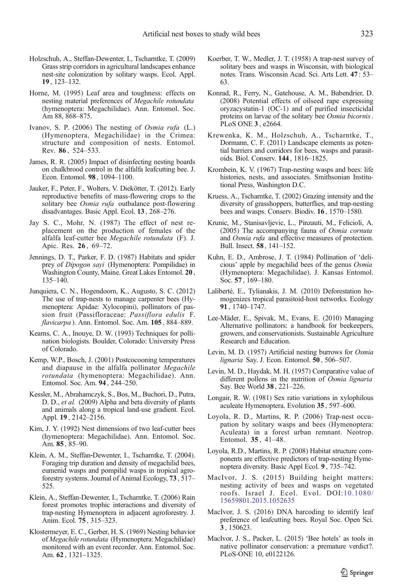- <span id="page-12-0"></span>Holzschuh, A., Steffan-Dewenter, I., Tscharntke, T. (2009) Grass strip corridors in agricultural landscapes enhance nest-site colonization by solitary wasps. Ecol. Appl. 19 , 123–132.
- Horne, M. (1995) Leaf area and toughness: effects on nesting material preferences of Megachile rotundata (hymenoptera: Megachilidae). Ann. Entomol. Soc. Am 88, 868–875.
- Ivanov, S. P. (2006) The nesting of Osmia rufa (L.) (Hymenoptera, Megachilidae) in the Crimea: structure and composition of nests. Entomol. Rev. 86 , 524–533.
- James, R. R. (2005) Impact of disinfecting nesting boards on chalkbrood control in the alfalfa leafcutting bee. J. Econ. Entomol. 98 , 1094–1100.
- Jauker, F., Peter, F., Wolters, V. Diekötter, T. (2012). Early reproductive benefits of mass-flowering crops to the solitary bee Osmia rufa outbalance post-flowering disadvantages. Basic Appl. Ecol. 13 , 268–276.
- Jay S. C., Mohr, N. (1987) The effect of nest replacement on the production of females of the alfalfa leaf-cutter bee Megachile rotundata (F). J. Apic. Res. 26 , 69–72.
- Jennings, D. T., Parker, F. D. (1987) Habitats and spider prey of Dipogon sayi (Hymenoptera: Pompilidae) in Washington County, Maine. Great Lakes Entomol. 20 , 135–140.
- Junquiera, C. N., Hogendoorn, K., Augusto, S. C. (2012) The use of trap-nests to manage carpenter bees (Hymenoptera: Apidae: Xylocopini), pollinators of passion fruit (Passifloraceae: Passiflora edulis F. flavicarpa ). Ann. Entomol. Soc. Am. 105, 884-889.
- Kearns, C. A., Inouye, D. W. (1993) Techniques for pollination biologists. Boulder, Colorado: University Press of Colorado.
- Kemp, W.P., Bosch, J. (2001) Postcocooning temperatures and diapause in the alfalfa pollinator Megachile rotundata (hymenoptera: Megachilidae). Ann. Entomol. Soc. Am. 94 , 244–250.
- Kessler, M., Abrahamczyk, S., Bos, M., Buchori, D., Putra, D. D., et al. (2009) Alpha and beta diversity of plants and animals along a tropical land-use gradient. Ecol. Appl. 19 , 2142–2156.
- Kim, J. Y. (1992) Nest dimensions of two leaf-cutter bees (hymenoptera: Megachilidae). Ann. Entomol. Soc. Am. 85 , 85–90.
- Klein, A. M., Steffan‐Dewenter, I., Tscharntke, T. (2004). Foraging trip duration and density of megachilid bees, eumenid wasps and pompilid wasps in tropical agroforestry systems. Journal of Animal Ecology, 73 , 517– 525.
- Klein, A., Steffan-Dewenter, I., Tscharntke, T. (2006) Rain forest promotes trophic interactions and diversity of trap-nesting Hymenoptera in adjacent agroforestry. J. Anim. Ecol. 75 , 315–323.
- Klostermeyer, E. C., Gerber, H. S. (1969) Nesting behavior of Megachile rotundata (Hymenoptera: Megachilidae) monitored with an event recorder. Ann. Entomol. Soc. Am. 62 , 1321–1325.
- Koerber, T. W., Medler, J. T. (1958) A trap-nest survey of solitary bees and wasps in Wisconsin, with biological notes. Trans. Wisconsin Acad. Sci. Arts Lett. 47 : 53– 63.
- Konrad, R., Ferry, N., Gatehouse, A. M., Babendrier, D. (2008) Potential effects of oilseed rape expressing oryzacystatin-1 (OC-1) and of purified insecticidal proteins on larvae of the solitary bee Osmia bicornis. PLoS ONE 3 , e2664.
- Krewenka, K. M., Holzschuh, A., Tscharntke, T., Dormann, C. F. (2011) Landscape elements as potential barriers and corridors for bees, wasps and parasitoids. Biol. Conserv. 144 , 1816–1825.
- Krombein, K. V. (1967) Trap-nesting wasps and bees: life histories, nests, and associates. Smithsonian Institutional Press, Washington D.C.
- Kruess, A., Tscharntke, T. (2002) Grazing intensity and the diversity of grasshoppers, butterflies, and trap-nesting bees and wasps. Conserv. Biodiv. 16 , 1570–1580.
- Krunic, M., Stanisavljevic, L., Pinzauti, M., Felicioli, A. (2005) The accompanying fauna of Osmia cornuta and Osmia rufa and effective measures of protection. Bull. Insect. 58 , 141–152.
- Kuhn, E. D., Ambrose, J. T. (1984) Pollination of 'delicious' apple by megachilid bees of the genus Osmia (Hymenoptera: Megachilidae). J. Kansas Entomol. Soc. 57 , 169–180.
- Laliberté, E., Tylianakis, J. M. (2010) Deforestation homogenizes tropical parasitoid-host networks. Ecology 91 , 1740–1747.
- Lee-Mäder, E., Spivak, M., Evans, E. (2010) Managing Alternative pollinators: a handbook for beekeepers, growers, and conservationists. Sustainable Agriculture Research and Education.
- Levin, M. D. (1957) Artificial nesting burrows for Osmia lignaria Say. J. Econ. Entomol. 50 , 506–507.
- Levin, M. D., Haydak, M. H. (1957) Comparative value of different pollens in the nutrition of Osmia lignaria Say. Bee World 38 , 221–226.
- Longair, R. W. (1981) Sex ratio variations in xylophilous aculeate Hymenoptera. Evolution 35 , 597–600.
- Loyola, R. D., Martins, R. P. (2006) Trap-nest occupation by solitary wasps and bees (Hymenoptera: Aculeata) in a forest urban remnant. Neotrop. Entomol. 35 , 41–48.
- Loyola, R.D., Martins, R. P. (2008) Habitat structure components are effective predictors of trap-nesting Hymenoptera diversity. Basic Appl Ecol. 9 , 735–742.
- MacIvor, J. S. (2015) Building height matters: nesting activity of bees and wasps on vegetated roofs. Israel J. Ecol. Evol. DOI:[10.1080/](http://dx.doi.org/10.1080/15659801.2015.1052635) [15659801.2015.1052635](http://dx.doi.org/10.1080/15659801.2015.1052635)
- MacIvor, J. S. (2016) DNA barcoding to identify leaf preference of leafcutting bees. Royal Soc. Open Sci. 3 , 150623.
- MacIvor, J. S., Packer, L. (2015) 'Bee hotels' as tools in native pollinator conservation: a premature verdict?. PLoS-ONE 10, e0122126.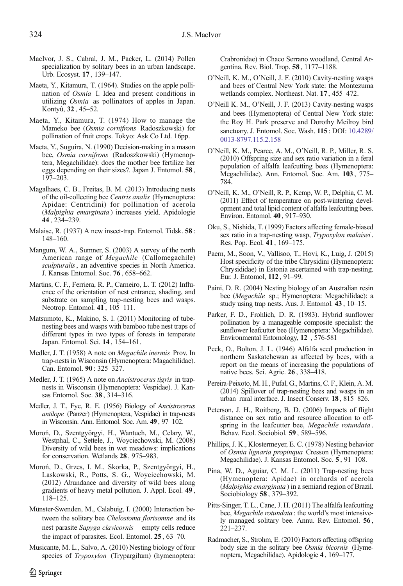- <span id="page-13-0"></span>MacIvor, J. S., Cabral, J. M., Packer, L. (2014) Pollen specialization by solitary bees in an urban landscape. Urb. Ecosyst. 17 , 139–147.
- Maeta, Y., Kitamura, T. (1964). Studies on the apple pollination of Osmia I. Idea and present conditions in utilizing Osmia as pollinators of apples in Japan. Kontyû, 32 , 45–52.
- Maeta, Y., Kitamura, T. (1974) How to manage the Mameko bee (Osmia cornifrons Radoszkowski) for pollination of fruit crops. Tokyo: Ask Co Ltd. 16pp.
- Maeta, Y., Suguira, N. (1990) Decision-making in a mason bee, Osmia cornifrons (Radoszkowski) (Hymenoptera, Megachilidae): does the mother bee fertilize her eggs depending on their sizes?. Japan J. Entomol. 58 , 197–203.
- Magalhaes, C. B., Freitas, B. M. (2013) Introducing nests of the oil-collecting bee Centris analis (Hymenoptera: Apidae: Centridini) for pollination of acerola (Malpighia emarginata ) increases yield. Apidologie 44 , 234–239.
- Malaise, R. (1937) A new insect-trap. Entomol. Tidsk. 58 : 148–160.
- Mangum, W. A., Sumner, S. (2003) A survey of the north American range of Megachile (Callomegachile) sculpturalis, an adventive species in North America. J. Kansas Entomol. Soc. 76 , 658–662.
- Martins, C. F., Ferriera, R. P., Carneiro, L. T. (2012) Influence of the orientation of nest entrance, shading, and substrate on sampling trap-nesting bees and wasps. Neotrop. Entomol. **41**, 105–111.
- Matsumoto, K., Makino, S. I. (2011) Monitoring of tubenesting bees and wasps with bamboo tube nest traps of different types in two types of forests in temperate Japan. Entomol. Sci. 14 , 154–161.
- Medler, J. T. (1958) A note on *Megachile inermis* Prov. In trap-nests in Wisconsin (Hymenoptera: Magachilidae). Can. Entomol. 90 : 325–327.
- Medler, J. T. (1965) A note on *Ancistrocerus tigris* in trapnests in Wisconsin (Hymenoptera: Vespidae). J. Kansas Entomol. Soc. 38 , 314–316.
- Medler, J. T., Fye, R. E. (1956) Biology of Ancistrocerus antilope (Panzer) (Hymenoptera, Vespidae) in trap-nests in Wisconsin. Ann. Entomol. Soc. Am. 49 , 97–102.
- Moroń, D., Szentgyörgyi, H., Wantuch, M., Celary, W., Westphal, C., Settele, J., Woyciechowski, M. (2008) Diversity of wild bees in wet meadows: implications for conservation. Wetlands 28 , 975–983.
- Moroń, D., Grzes, I. M., Skorka, P., Szentgyörgyi, H., Laskowski, R., Potts, S. G., Woyciechowski, M. (2012) Abundance and diversity of wild bees along gradients of heavy metal pollution. J. Appl. Ecol. 49 , 118–125.
- Münster-Swenden, M., Calabuig, I. (2000) Interaction between the solitary bee Chelostoma florisomne and its nest parasite Sapyga clavicornis—empty cells reduce the impact of parasites. Ecol. Entomol. 25 , 63–70.
- Musicante, M. L., Salvo, A. (2010) Nesting biology of four species of Trypoxylon (Trypargilum) (hymenoptera:

Crabronidae) in Chaco Serrano woodland, Central Argentina. Rev. Biol. Trop. 58 , 1177–1188.

- O'Neill, K. M., O'Neill, J. F. (2010) Cavity-nesting wasps and bees of Central New York state: the Montezuma wetlands complex. Northeast. Nat. 17 , 455–472.
- O'Neill K. M., O'Neill, J. F. (2013) Cavity-nesting wasps and bees (Hymenoptera) of Central New York state: the Roy H. Park preserve and Dorothy Mcilroy bird sanctuary. J. Entomol. Soc. Wash. 115 : DOI: [10.4289/](http://dx.doi.org/10.4289/0013-8797.115.2.158) [0013-8797.115.2.158](http://dx.doi.org/10.4289/0013-8797.115.2.158)
- O'Neill, K. M., Pearce, A. M., O'Neill, R. P., Miller, R. S. (2010) Offspring size and sex ratio variation in a feral population of alfalfa leafcutting bees (Hymenoptera: Megachilidae). Ann. Entomol. Soc. Am. 103 , 775– 784.
- O'Neill, K. M., O'Neill, R. P., Kemp, W. P., Delphia, C. M. (2011) Effect of temperature on post-wintering development and total lipid content of alfalfa leafcutting bees. Environ. Entomol. 40 , 917–930.
- Oku, S., Nishida, T. (1999) Factors affecting female-biased sex ratio in a trap-nesting wasp, Trypoxylon malaisei. Res. Pop. Ecol. 41 , 169–175.
- Paern, M., Soon, V., Vallisoo, T., Hovi, K., Luig, J. (2015) Host specificity of the tribe Chrysidini (Hymenoptera: Chrysididae) in Estonia ascertained with trap-nesting. Eur. J. Entomol, 112 , 91–99.
- Paini, D. R. (2004) Nesting biology of an Australian resin bee (Megachile sp.; Hymenoptera: Megachilidae): a study using trap nests. Aus. J. Entomol. 43 , 10–15.
- Parker, F. D., Frohlich, D. R. (1983). Hybrid sunflower pollination by a manageable composite specialist: the sunflower leafcutter bee (Hymenoptera: Megachilidae). Environmental Entomology, 12 , 576-581
- Peck, O., Bolton, J. L. (1946) Alfalfa seed production in northern Saskatchewan as affected by bees, with a report on the means of increasing the populations of native bees. Sci. Agric. 26 , 338–418.
- Pereira-Peixoto, M. H., Pufal, G., Martins, C. F., Klein, A. M. (2014) Spillover of trap-nesting bees and wasps in an urban–rural interface. J. Insect Conserv. 18 , 815–826.
- Peterson, J. H., Roitberg, B. D. (2006) Impacts of flight distance on sex ratio and resource allocation to offspring in the leafcutter bee, Megachile rotundata. Behav. Ecol. Sociobiol. 59 , 589–596.
- Phillips, J. K., Klostermeyer, E. C. (1978) Nesting behavior of Osmia lignaria propinqua Cresson (Hymenoptera: Megachilidae). J. Kansas Entomol. Soc. 5 , 91–108.
- Pina, W. D., Aguiar, C. M. L. (2011) Trap-nesting bees (Hymenoptera: Apidae) in orchards of acerola (Malpighia emarginata ) in a semiarid region of Brazil. Sociobiology 58 , 379–392.
- Pitts-Singer, T. L., Cane, J. H. (2011) The alfalfa leafcutting bee, Megachile rotundata : the world's most intensively managed solitary bee. Annu. Rev. Entomol. 56 , 221–237.
- Radmacher, S., Strohm, E. (2010) Factors affecting offspring body size in the solitary bee Osmia bicornis (Hymenoptera, Megachilidae). Apidologie 4 , 169–177.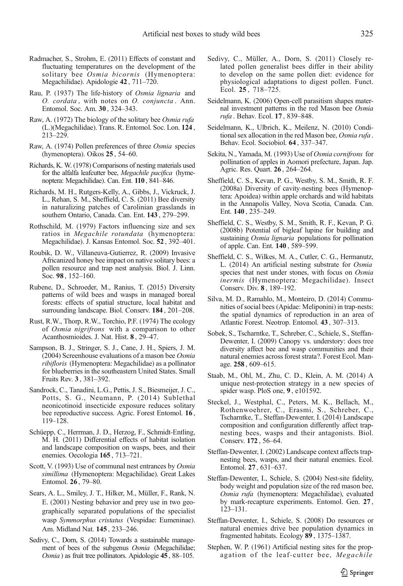- <span id="page-14-0"></span>Radmacher, S., Strohm, E. (2011) Effects of constant and fluctuating temperatures on the development of the solitary bee Osmia bicornis (Hymenoptera: Megachilidae). Apidologie 42 , 711–720.
- Rau, P. (1937) The life-history of Osmia lignaria and O. cordata , with notes on O. conjuncta . Ann. Entomol. Soc. Am. 30 , 324–343.
- Raw, A. (1972) The biology of the solitary bee Osmia rufa (L.)(Megachilidae). Trans. R. Entomol. Soc. Lon. 124 , 213–229.
- Raw, A. (1974) Pollen preferences of three Osmia species (hymenoptera). Oikos 25 , 54–60.
- Richards, K. W. (1978) Comparisons of nesting materials used for the alfalfa leafcutter bee, Megachile pacifica (hymenoptera: Megachilidae). Can. Ent. 110 , 841–846.
- Richards, M. H., Rutgers-Kelly, A., Gibbs, J., Vickruck, J. L., Rehan, S. M., Sheffield, C. S. (2011) Bee diversity in naturalizing patches of Carolinian grasslands in southern Ontario, Canada. Can. Ent. 143 , 279–299.
- Rothschild, M. (1979) Factors influencing size and sex ratios in Megachile rotundata (hymenoptera: Megachilidae). J. Kansas Entomol. Soc. 52 , 392–401.
- Roubik, D. W., Villaneuva-Gutierrez, R. (2009) Invasive Africanized honey bee impact on native solitary bees: a pollen resource and trap nest analysis. Biol. J. Linn. Soc. 98 , 152–160.
- Rubene, D., Schroeder, M., Ranius, T. (2015) Diversity patterns of wild bees and wasps in managed boreal forests: effects of spatial structure, local habitat and surrounding landscape. Biol. Conserv. 184 , 201–208.
- Rust, R.W., Thorp, R.W., Torchio, P.F. (1974) The ecology of Osmia nigrifrons with a comparison to other Acanthosmioides. J. Nat. Hist. 8 , 29–47.
- Sampson, B. J., Stringer, S. J., Cane, J. H., Spiers, J. M. (2004) Screenhouse evaluations of a mason bee Osmia ribifloris (Hymenoptera: Megachilidae) as a pollinator for blueberries in the southeastern United States. Small Fruits Rev. 3 , 381–392.
- Sandrock, C., Tanadini, L.G., Pettis, J. S., Biesmeijer, J. C., Potts, S. G., Neumann, P. (2014) Sublethal neonicotinoid insecticide exposure reduces solitary bee reproductive success. Agric. Forest Entomol. 16 , 119–128.
- Schüepp, C., Herrman, J. D., Herzog, F., Schmidt-Entling, M. H. (2011) Differential effects of habitat isolation and landscape composition on wasps, bees, and their enemies. Oecologia 165 , 713–721.
- Scott, V. (1993) Use of communal nest entrances by Osmia simillima (Hymenoptera: Megachilidae). Great Lakes Entomol. 26 , 79–80.
- Sears, A. L., Smiley, J. T., Hilker, M., Müller, F., Rank, N. E. (2001) Nesting behavior and prey use in two geographically separated populations of the specialist wasp Symmorphus cristatus (Vespidae: Eumeninae). Am. Midland Nat. 145 , 233–246.
- Sedivy, C., Dorn, S. (2014) Towards a sustainable management of bees of the subgenus Osmia (Megachilidae; Osmia ) as fruit tree pollinators. Apidologie 45 , 88–105.
- Sedivy, C., Müller, A., Dorn, S. (2011) Closely related pollen generalist bees differ in their ability to develop on the same pollen diet: evidence for physiological adaptations to digest pollen. Funct. Ecol. 25 , 718–725.
- Seidelmann, K. (2006) Open-cell parasitism shapes maternal investment patterns in the red Mason bee Osmia rufa . Behav. Ecol. 17 , 839–848.
- Seidelmann, K., Ulbrich, K., Meilenz, N. (2010) Conditional sex allocation in the red Mason bee, Osmia rufa . Behav. Ecol. Sociobiol. 64 , 337–347.
- Sekita, N., Yamada, M. (1993) Use of Osmia cornifrons for pollination of apples in Aomori prefecture, Japan. Jap. Agric. Res. Quart. 26 , 264–264.
- Sheffield, C. S., Kevan, P. G., Westby, S. M., Smith, R. F. (2008a) Diversity of cavity-nesting bees (Hymenoptera: Apoidea) within apple orchards and wild habitats in the Annapolis Valley, Nova Scotia, Canada. Can. Ent. 140 , 235–249.
- Sheffield, C. S., Westby, S. M., Smith, R. F., Kevan, P. G. (2008b) Potential of bigleaf lupine for building and sustaining Osmia lignaria populations for pollination of apple. Can. Ent. 140 , 589–599.
- Sheffield, C. S., Wilkes, M. A., Cutler, C. G., Hermanutz, L. (2014) An artificial nesting substrate for Osmia species that nest under stones, with focus on Osmia inermis (Hymenoptera: Megachilidae). Insect Conserv. Div. 8 , 189–192.
- Silva, M. D., Ramahlo, M., Monteiro, D. (2014) Communities of social bees (Apidae: Meliponini) in trap-nests: the spatial dynamics of reproduction in an area of Atlantic Forest. Neotrop. Entomol. 43 , 307–313.
- Sobek, S., Tscharntke, T., Schreber, C., Schiele, S., Steffan-Dewenter, I. (2009) Canopy vs. understory: does tree diversity affect bee and wasp communities and their natural enemies across forest strata?. Forest Ecol. Manage. 258 , 609–615.
- Staab, M., Ohl, M., Zhu, C. D., Klein, A. M. (2014) A unique nest-protection strategy in a new species of spider wasp. PloS one, 9 , e101592.
- Steckel, J., Westphal, C., Peters, M. K., Bellach, M., Rothenwoehrer, C., Erasmi, S., Schreber, C., Tscharntke, T., Steffan-Dewenter, I. (2014) Landscape composition and configuration differently affect trapnesting bees, wasps and their antagonists. Biol. Conserv. 172 , 56–64.
- Steffan-Dewenter, I. (2002) Landscape context affects trapnesting bees, wasps, and their natural enemies. Ecol. Entomol. 27 , 631–637.
- Steffan-Dewenter, I., Schiele, S. (2004) Nest-site fidelity, body weight and population size of the red mason bee, Osmia rufa (hymenoptera: Megachilidae), evaluated by mark-recapture experiments. Entomol. Gen. 27 , 123–131.
- Steffan-Dewenter, I., Schiele, S. (2008) Do resources or natural enemies drive bee population dynamics in fragmented habitats. Ecology 89 , 1375–1387.
- Stephen, W. P. (1961) Artificial nesting sites for the propagation of the leaf-cutter bee, Megachile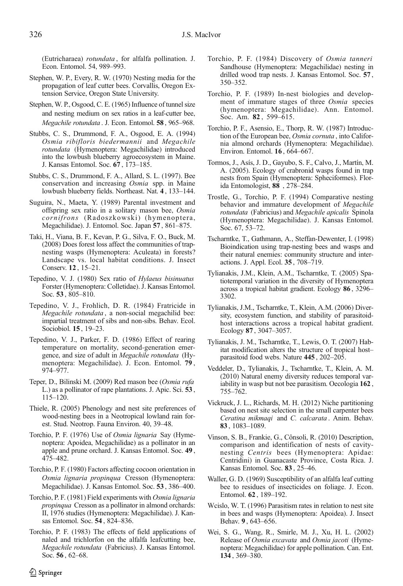<span id="page-15-0"></span>(Eutricharaea) rotundata , for alfalfa pollination. J. Econ. Entomol. 54, 989–993.

- Stephen, W. P., Every, R. W. (1970) Nesting media for the propagation of leaf cutter bees. Corvallis, Oregon Extension Service, Oregon State University.
- Stephen, W. P., Osgood, C. E. (1965) Influence of tunnel size and nesting medium on sex ratios in a leaf-cutter bee, Megachile rotundata . J. Econ. Entomol. 58 , 965–968.
- Stubbs, C. S., Drummond, F. A., Osgood, E. A. (1994) Osmia ribifloris biedermannii and Megachile rotundata (Hymenoptera: Megachilidae) introduced into the lowbush blueberry agroecosystem in Maine. J. Kansas Entomol. Soc. 67 , 173–185.
- Stubbs, C. S., Drummond, F. A., Allard, S. L. (1997). Bee conservation and increasing Osmia spp. in Maine lowbush blueberry fields. Northeast. Nat. 4 , 133–144.
- Suguira, N., Maeta, Y. (1989) Parental investment and offspring sex ratio in a solitary mason bee, Osmia cornifrons (Radoszkowski) (hymenoptera, Megachilidae). J. Entomol. Soc. Japan 57 , 861–875.
- Taki, H., Viana, B. F., Kevan, P. G., Silva, F. O., Buck, M. (2008) Does forest loss affect the communities of trapnesting wasps (Hymenoptera: Aculeata) in forests? Landscape vs. local habitat conditions. J. Insect Conserv. 12 , 15–21.
- Tepedino, V. J. (1980) Sex ratio of Hylaeus bisinuatus Forster (Hymenoptera: Colletidae). J. Kansas Entomol. Soc. 53 , 805–810.
- Tepedino, V. J., Frohlich, D. R. (1984) Fratricide in Megachile rotundata , a non-social megachilid bee: impartial treatment of sibs and non-sibs. Behav. Ecol. Sociobiol. 15 , 19–23.
- Tepedino, V. J., Parker, F. D. (1986) Effect of rearing temperature on mortality, second-generation emergence, and size of adult in Megachile rotundata (Hymenoptera: Megachilidae). J. Econ. Entomol. 79 , 974–977.
- Teper, D., Bilinski M. (2009) Red mason bee (Osmia rufa L.) as a pollinator of rape plantations. J. Apic. Sci. 53 ,  $115 - 120$ .
- Thiele, R. (2005) Phenology and nest site preferences of wood-nesting bees in a Neotropical lowland rain forest. Stud. Neotrop. Fauna Environ. 40, 39–48.
- Torchio, P. F. (1976) Use of *Osmia lignaria* Say (Hymenoptera: Apoidea, Megachilidae) as a pollinator in an apple and prune orchard. J. Kansas Entomol. Soc. 49 , 475–482.
- Torchio, P. F. (1980) Factors affecting cocoon orientation in Osmia lignaria propinqua Cresson (Hymenoptera: Megachilidae). J. Kansas Entomol. Soc. 53 , 386–400.
- Torchio, P. F. (1981) Field experiments with Osmia lignaria propinqua Cresson as a pollinator in almond orchards: II, 1976 studies (Hymenoptera: Megachilidae). J. Kansas Entomol. Soc. 54 , 824–836.
- Torchio, P. F. (1983) The effects of field applications of naled and trichlorfon on the alfalfa leafcutting bee, Megachile rotundata (Fabricius). J. Kansas Entomol. Soc. 56 , 62–68.
- Torchio, P. F. (1984) Discovery of Osmia tanneri Sandhouse (Hymenoptera: Megachilidae) nesting in drilled wood trap nests. J. Kansas Entomol. Soc. 57 , 350–352.
- Torchio, P. F. (1989) In-nest biologies and development of immature stages of three Osmia species (hymenoptera: Megachilidae). Ann. Entomol. Soc. Am. 82 , 599–615.
- Torchio, P. F., Asensio, E., Thorp, R. W. (1987) Introduction of the European bee, Osmia cornuta , into California almond orchards (Hymenoptera: Megachilidae). Environ. Entomol. 16 , 664–667.
- Tormos, J., Asís, J. D., Gayubo, S. F., Calvo, J., Martín, M. A. (2005). Ecology of crabronid wasps found in trap nests from Spain (Hymenoptera: Spheciformes). Florida Entomologist, 88 , 278–284.
- Trostle, G., Torchio, P. F. (1994) Comparative nesting behavior and immature development of Megachile rotundata (Fabricius) and Megachile apicalis Spinola (Hymenoptera: Megachilidae). J. Kansas Entomol. Soc. 67, 53–72.
- Tscharntke, T., Gathmann, A., Steffan-Dewenter, I. (1998) Bioindication using trap-nesting bees and wasps and their natural enemies: community structure and interactions. J. Appl. Ecol. 35 , 708–719.
- Tylianakis, J.M., Klein, A.M., Tscharntke, T. (2005) Spatiotemporal variation in the diversity of Hymenoptera across a tropical habitat gradient. Ecology 86 , 3296– 3302.
- Tylianakis, J.M., Tscharntke, T., Klein, A.M. (2006) Diversity, ecosystem function, and stability of parasitoidhost interactions across a tropical habitat gradient. Ecology 87 , 3047–3057.
- Tylianakis, J. M., Tscharntke, T., Lewis, O. T. (2007) Habitat modification alters the structure of tropical host– parasitoid food webs. Nature 445 , 202–205.
- Veddeler, D., Tylianakis, J., Tscharntke, T., Klein, A. M. (2010) Natural enemy diversity reduces temporal variability in wasp but not bee parasitism. Oecologia 162 , 755–762.
- Vickruck, J. L., Richards, M. H. (2012) Niche partitioning based on nest site selection in the small carpenter bees Ceratina mikmaqi and C. calcarata . Anim. Behav. 83 , 1083–1089.
- Vinson, S. B., Frankie, G., Cônsoli, R. (2010) Description, comparison and identification of nests of cavitynesting Centris bees (Hymenoptera: Apidae: Centridini) in Guanacaste Province, Costa Rica. J. Kansas Entomol. Soc. 83 , 25–46.
- Waller, G. D. (1969) Susceptibility of an alfalfa leaf cutting bee to residues of insecticides on foliage. J. Econ. Entomol. 62 , 189–192.
- Wcislo, W. T. (1996) Parasitism rates in relation to nest site in bees and wasps (Hymenoptera: Apoidea). J. Insect Behav. 9 , 643–656.
- Wei, S. G., Wang, R., Smirle, M. J., Xu, H. L. (2002) Release of Osmia excavata and Osmia jacoti (Hymenoptera: Megachilidae) for apple pollination. Can. Ent. 134 , 369–380.